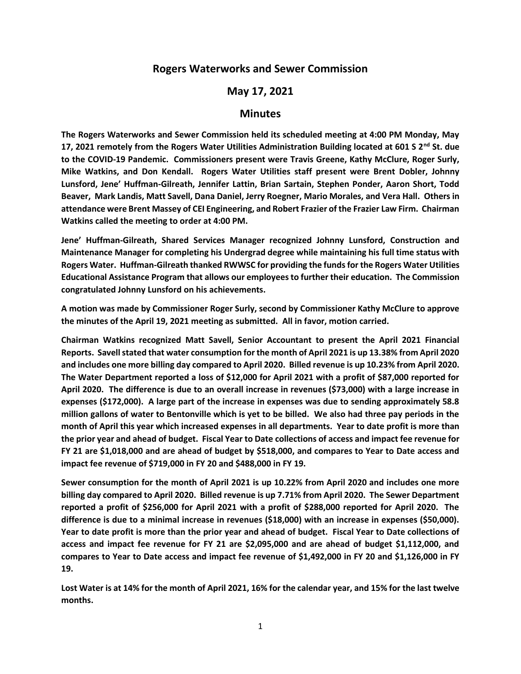## **Rogers Waterworks and Sewer Commission**

## **May 17, 2021**

## **Minutes**

**The Rogers Waterworks and Sewer Commission held its scheduled meeting at 4:00 PM Monday, May 17, 2021 remotely from the Rogers Water Utilities Administration Building located at 601 S 2nd St. due to the COVID-19 Pandemic. Commissioners present were Travis Greene, Kathy McClure, Roger Surly, Mike Watkins, and Don Kendall. Rogers Water Utilities staff present were Brent Dobler, Johnny Lunsford, Jene' Huffman-Gilreath, Jennifer Lattin, Brian Sartain, Stephen Ponder, Aaron Short, Todd Beaver, Mark Landis, Matt Savell, Dana Daniel, Jerry Roegner, Mario Morales, and Vera Hall. Others in attendance were Brent Massey of CEI Engineering, and Robert Frazier of the Frazier Law Firm. Chairman Watkins called the meeting to order at 4:00 PM.**

**Jene' Huffman-Gilreath, Shared Services Manager recognized Johnny Lunsford, Construction and Maintenance Manager for completing his Undergrad degree while maintaining his full time status with Rogers Water. Huffman-Gilreath thanked RWWSC for providing the funds for the Rogers Water Utilities Educational Assistance Program that allows our employees to further their education. The Commission congratulated Johnny Lunsford on his achievements.**

**A motion was made by Commissioner Roger Surly, second by Commissioner Kathy McClure to approve the minutes of the April 19, 2021 meeting as submitted. All in favor, motion carried.**

**Chairman Watkins recognized Matt Savell, Senior Accountant to present the April 2021 Financial Reports. Savell stated that water consumption for the month of April 2021 is up 13.38% from April 2020 and includes one more billing day compared to April 2020. Billed revenue is up 10.23% from April 2020. The Water Department reported a loss of \$12,000 for April 2021 with a profit of \$87,000 reported for April 2020. The difference is due to an overall increase in revenues (\$73,000) with a large increase in expenses (\$172,000). A large part of the increase in expenses was due to sending approximately 58.8 million gallons of water to Bentonville which is yet to be billed. We also had three pay periods in the month of April this year which increased expenses in all departments. Year to date profit is more than the prior year and ahead of budget. Fiscal Year to Date collections of access and impact fee revenue for FY 21 are \$1,018,000 and are ahead of budget by \$518,000, and compares to Year to Date access and impact fee revenue of \$719,000 in FY 20 and \$488,000 in FY 19.**

**Sewer consumption for the month of April 2021 is up 10.22% from April 2020 and includes one more billing day compared to April 2020. Billed revenue is up 7.71% from April 2020. The Sewer Department reported a profit of \$256,000 for April 2021 with a profit of \$288,000 reported for April 2020. The difference is due to a minimal increase in revenues (\$18,000) with an increase in expenses (\$50,000). Year to date profit is more than the prior year and ahead of budget. Fiscal Year to Date collections of access and impact fee revenue for FY 21 are \$2,095,000 and are ahead of budget \$1,112,000, and compares to Year to Date access and impact fee revenue of \$1,492,000 in FY 20 and \$1,126,000 in FY 19.**

**Lost Water is at 14% for the month of April 2021, 16% for the calendar year, and 15% for the last twelve months.**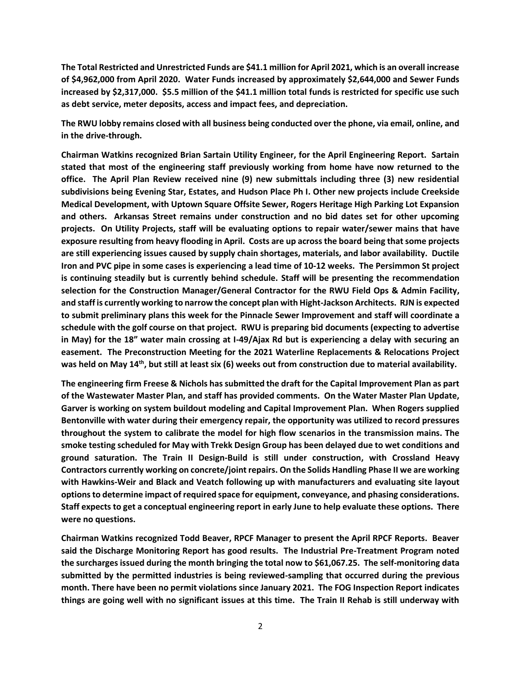**The Total Restricted and Unrestricted Funds are \$41.1 million for April 2021, which is an overall increase of \$4,962,000 from April 2020. Water Funds increased by approximately \$2,644,000 and Sewer Funds increased by \$2,317,000. \$5.5 million of the \$41.1 million total funds is restricted for specific use such as debt service, meter deposits, access and impact fees, and depreciation.**

**The RWU lobby remains closed with all business being conducted over the phone, via email, online, and in the drive-through.**

**Chairman Watkins recognized Brian Sartain Utility Engineer, for the April Engineering Report. Sartain stated that most of the engineering staff previously working from home have now returned to the office. The April Plan Review received nine (9) new submittals including three (3) new residential subdivisions being Evening Star, Estates, and Hudson Place Ph I. Other new projects include Creekside Medical Development, with Uptown Square Offsite Sewer, Rogers Heritage High Parking Lot Expansion and others. Arkansas Street remains under construction and no bid dates set for other upcoming projects. On Utility Projects, staff will be evaluating options to repair water/sewer mains that have exposure resulting from heavy flooding in April. Costs are up across the board being that some projects are still experiencing issues caused by supply chain shortages, materials, and labor availability. Ductile Iron and PVC pipe in some cases is experiencing a lead time of 10-12 weeks. The Persimmon St project is continuing steadily but is currently behind schedule. Staff will be presenting the recommendation selection for the Construction Manager/General Contractor for the RWU Field Ops & Admin Facility, and staff is currently working to narrow the concept plan with Hight-Jackson Architects. RJN is expected to submit preliminary plans this week for the Pinnacle Sewer Improvement and staff will coordinate a schedule with the golf course on that project. RWU is preparing bid documents (expecting to advertise in May) for the 18" water main crossing at I-49/Ajax Rd but is experiencing a delay with securing an easement. The Preconstruction Meeting for the 2021 Waterline Replacements & Relocations Project was held on May 14th, but still at least six (6) weeks out from construction due to material availability.**

**The engineering firm Freese & Nichols has submitted the draft for the Capital Improvement Plan as part of the Wastewater Master Plan, and staff has provided comments. On the Water Master Plan Update, Garver is working on system buildout modeling and Capital Improvement Plan. When Rogers supplied Bentonville with water during their emergency repair, the opportunity was utilized to record pressures throughout the system to calibrate the model for high flow scenarios in the transmission mains. The smoke testing scheduled for May with Trekk Design Group has been delayed due to wet conditions and ground saturation. The Train II Design-Build is still under construction, with Crossland Heavy Contractors currently working on concrete/joint repairs. On the Solids Handling Phase II we are working with Hawkins-Weir and Black and Veatch following up with manufacturers and evaluating site layout options to determine impact of required space for equipment, conveyance, and phasing considerations. Staff expects to get a conceptual engineering report in early June to help evaluate these options. There were no questions.**

**Chairman Watkins recognized Todd Beaver, RPCF Manager to present the April RPCF Reports. Beaver said the Discharge Monitoring Report has good results. The Industrial Pre-Treatment Program noted the surcharges issued during the month bringing the total now to \$61,067.25. The self-monitoring data submitted by the permitted industries is being reviewed-sampling that occurred during the previous month. There have been no permit violations since January 2021. The FOG Inspection Report indicates things are going well with no significant issues at this time. The Train II Rehab is still underway with**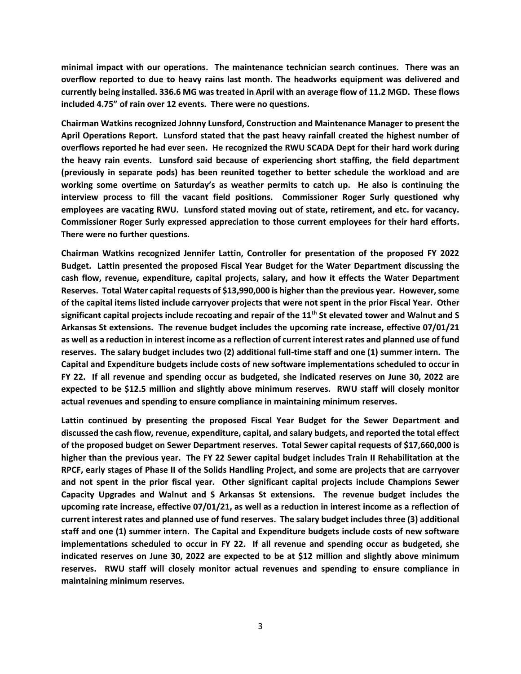**minimal impact with our operations. The maintenance technician search continues. There was an overflow reported to due to heavy rains last month. The headworks equipment was delivered and currently being installed. 336.6 MG was treated in April with an average flow of 11.2 MGD. These flows included 4.75" of rain over 12 events. There were no questions.**

**Chairman Watkins recognized Johnny Lunsford, Construction and Maintenance Manager to present the April Operations Report. Lunsford stated that the past heavy rainfall created the highest number of overflows reported he had ever seen. He recognized the RWU SCADA Dept for their hard work during the heavy rain events. Lunsford said because of experiencing short staffing, the field department (previously in separate pods) has been reunited together to better schedule the workload and are working some overtime on Saturday's as weather permits to catch up. He also is continuing the interview process to fill the vacant field positions. Commissioner Roger Surly questioned why employees are vacating RWU. Lunsford stated moving out of state, retirement, and etc. for vacancy. Commissioner Roger Surly expressed appreciation to those current employees for their hard efforts. There were no further questions.**

**Chairman Watkins recognized Jennifer Lattin, Controller for presentation of the proposed FY 2022 Budget. Lattin presented the proposed Fiscal Year Budget for the Water Department discussing the cash flow, revenue, expenditure, capital projects, salary, and how it effects the Water Department Reserves. Total Water capital requests of \$13,990,000 is higher than the previous year. However, some of the capital items listed include carryover projects that were not spent in the prior Fiscal Year. Other significant capital projects include recoating and repair of the 11th St elevated tower and Walnut and S Arkansas St extensions. The revenue budget includes the upcoming rate increase, effective 07/01/21 as well as a reduction in interest income as a reflection of current interest rates and planned use of fund reserves. The salary budget includes two (2) additional full-time staff and one (1) summer intern. The Capital and Expenditure budgets include costs of new software implementations scheduled to occur in FY 22. If all revenue and spending occur as budgeted, she indicated reserves on June 30, 2022 are expected to be \$12.5 million and slightly above minimum reserves. RWU staff will closely monitor actual revenues and spending to ensure compliance in maintaining minimum reserves.**

**Lattin continued by presenting the proposed Fiscal Year Budget for the Sewer Department and discussed the cash flow, revenue, expenditure, capital, and salary budgets, and reported the total effect of the proposed budget on Sewer Department reserves. Total Sewer capital requests of \$17,660,000 is higher than the previous year. The FY 22 Sewer capital budget includes Train II Rehabilitation at the RPCF, early stages of Phase II of the Solids Handling Project, and some are projects that are carryover and not spent in the prior fiscal year. Other significant capital projects include Champions Sewer Capacity Upgrades and Walnut and S Arkansas St extensions. The revenue budget includes the upcoming rate increase, effective 07/01/21, as well as a reduction in interest income as a reflection of current interest rates and planned use of fund reserves. The salary budget includes three (3) additional staff and one (1) summer intern. The Capital and Expenditure budgets include costs of new software implementations scheduled to occur in FY 22. If all revenue and spending occur as budgeted, she indicated reserves on June 30, 2022 are expected to be at \$12 million and slightly above minimum reserves. RWU staff will closely monitor actual revenues and spending to ensure compliance in maintaining minimum reserves.**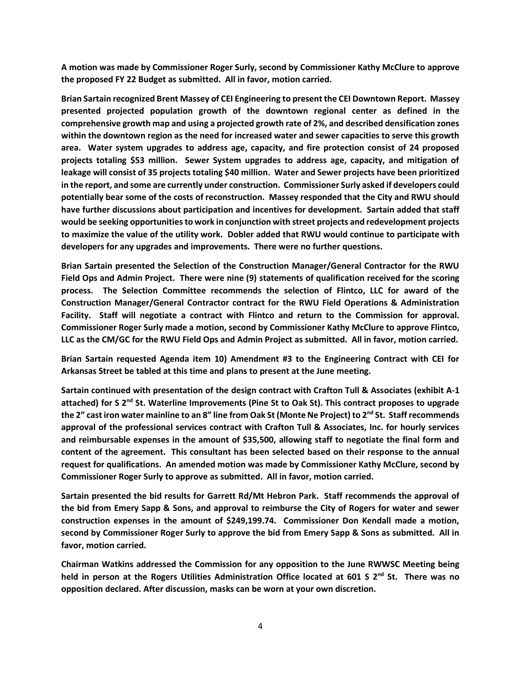**A motion was made by Commissioner Roger Surly, second by Commissioner Kathy McClure to approve the proposed FY 22 Budget as submitted. All in favor, motion carried.**

**Brian Sartain recognized Brent Massey of CEI Engineering to present the CEI Downtown Report. Massey presented projected population growth of the downtown regional center as defined in the comprehensive growth map and using a projected growth rate of 2%, and described densification zones within the downtown region as the need for increased water and sewer capacities to serve this growth area. Water system upgrades to address age, capacity, and fire protection consist of 24 proposed projects totaling \$53 million. Sewer System upgrades to address age, capacity, and mitigation of leakage will consist of 35 projects totaling \$40 million. Water and Sewer projects have been prioritized in the report, and some are currently under construction. Commissioner Surly asked if developers could potentially bear some of the costs of reconstruction. Massey responded that the City and RWU should have further discussions about participation and incentives for development. Sartain added that staff would be seeking opportunities to work in conjunction with street projects and redevelopment projects to maximize the value of the utility work. Dobler added that RWU would continue to participate with developers for any upgrades and improvements. There were no further questions.**

**Brian Sartain presented the Selection of the Construction Manager/General Contractor for the RWU Field Ops and Admin Project. There were nine (9) statements of qualification received for the scoring process. The Selection Committee recommends the selection of Flintco, LLC for award of the Construction Manager/General Contractor contract for the RWU Field Operations & Administration Facility. Staff will negotiate a contract with Flintco and return to the Commission for approval. Commissioner Roger Surly made a motion, second by Commissioner Kathy McClure to approve Flintco, LLC as the CM/GC for the RWU Field Ops and Admin Project as submitted. All in favor, motion carried.**

**Brian Sartain requested Agenda item 10) Amendment #3 to the Engineering Contract with CEI for Arkansas Street be tabled at this time and plans to present at the June meeting.**

**Sartain continued with presentation of the design contract with Crafton Tull & Associates (exhibit A-1 attached) for S 2nd St. Waterline Improvements (Pine St to Oak St). This contract proposes to upgrade the 2" cast iron water mainline to an 8" line from Oak St (Monte Ne Project) to 2nd St. Staff recommends approval of the professional services contract with Crafton Tull & Associates, Inc. for hourly services and reimbursable expenses in the amount of \$35,500, allowing staff to negotiate the final form and content of the agreement. This consultant has been selected based on their response to the annual request for qualifications. An amended motion was made by Commissioner Kathy McClure, second by Commissioner Roger Surly to approve as submitted. All in favor, motion carried.**

**Sartain presented the bid results for Garrett Rd/Mt Hebron Park. Staff recommends the approval of the bid from Emery Sapp & Sons, and approval to reimburse the City of Rogers for water and sewer construction expenses in the amount of \$249,199.74. Commissioner Don Kendall made a motion, second by Commissioner Roger Surly to approve the bid from Emery Sapp & Sons as submitted. All in favor, motion carried.**

**Chairman Watkins addressed the Commission for any opposition to the June RWWSC Meeting being held in person at the Rogers Utilities Administration Office located at 601 S 2nd St. There was no opposition declared. After discussion, masks can be worn at your own discretion.**